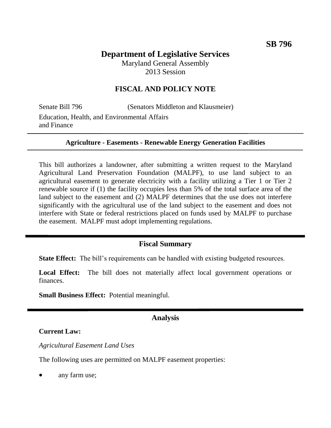# **Department of Legislative Services**

Maryland General Assembly 2013 Session

## **FISCAL AND POLICY NOTE**

Senate Bill 796 (Senators Middleton and Klausmeier) Education, Health, and Environmental Affairs and Finance

#### **Agriculture - Easements - Renewable Energy Generation Facilities**

This bill authorizes a landowner, after submitting a written request to the Maryland Agricultural Land Preservation Foundation (MALPF), to use land subject to an agricultural easement to generate electricity with a facility utilizing a Tier 1 or Tier 2 renewable source if (1) the facility occupies less than 5% of the total surface area of the land subject to the easement and (2) MALPF determines that the use does not interfere significantly with the agricultural use of the land subject to the easement and does not interfere with State or federal restrictions placed on funds used by MALPF to purchase the easement. MALPF must adopt implementing regulations.

### **Fiscal Summary**

**State Effect:** The bill's requirements can be handled with existing budgeted resources.

Local Effect: The bill does not materially affect local government operations or finances.

**Small Business Effect:** Potential meaningful.

### **Analysis**

#### **Current Law:**

*Agricultural Easement Land Uses*

The following uses are permitted on MALPF easement properties:

any farm use;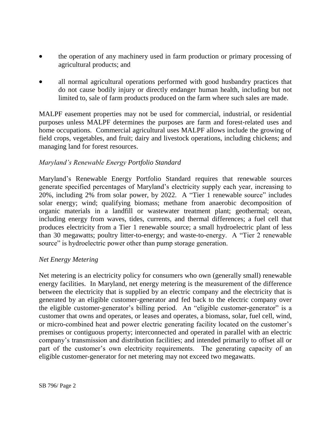- the operation of any machinery used in farm production or primary processing of agricultural products; and
- all normal agricultural operations performed with good husbandry practices that do not cause bodily injury or directly endanger human health, including but not limited to, sale of farm products produced on the farm where such sales are made.

MALPF easement properties may not be used for commercial, industrial, or residential purposes unless MALPF determines the purposes are farm and forest-related uses and home occupations. Commercial agricultural uses MALPF allows include the growing of field crops, vegetables, and fruit; dairy and livestock operations, including chickens; and managing land for forest resources.

## *Maryland's Renewable Energy Portfolio Standard*

Maryland's Renewable Energy Portfolio Standard requires that renewable sources generate specified percentages of Maryland's electricity supply each year, increasing to 20%, including 2% from solar power, by 2022. A "Tier 1 renewable source" includes solar energy; wind; qualifying biomass; methane from anaerobic decomposition of organic materials in a landfill or wastewater treatment plant; geothermal; ocean, including energy from waves, tides, currents, and thermal differences; a fuel cell that produces electricity from a Tier 1 renewable source; a small hydroelectric plant of less than 30 megawatts; poultry litter-to-energy; and waste-to-energy. A "Tier 2 renewable source" is hydroelectric power other than pump storage generation.

### *Net Energy Metering*

Net metering is an electricity policy for consumers who own (generally small) renewable energy facilities. In Maryland, net energy metering is the measurement of the difference between the electricity that is supplied by an electric company and the electricity that is generated by an eligible customer-generator and fed back to the electric company over the eligible customer-generator's billing period. An "eligible customer-generator" is a customer that owns and operates, or leases and operates, a biomass, solar, fuel cell, wind, or micro-combined heat and power electric generating facility located on the customer's premises or contiguous property; interconnected and operated in parallel with an electric company's transmission and distribution facilities; and intended primarily to offset all or part of the customer's own electricity requirements. The generating capacity of an eligible customer-generator for net metering may not exceed two megawatts.